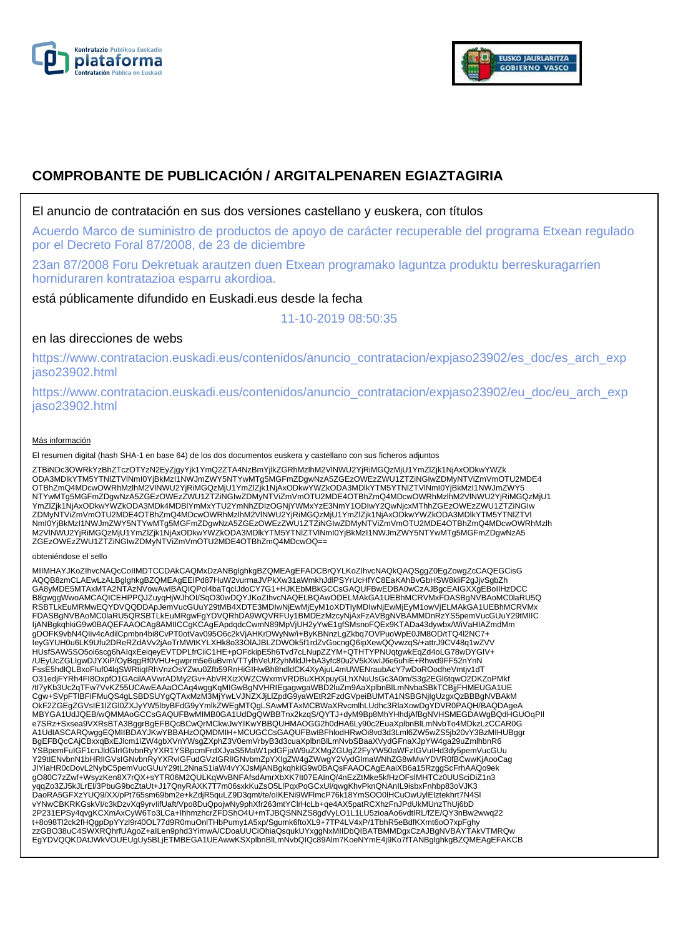



# **COMPROBANTE DE PUBLICACIÓN / ARGITALPENAREN EGIAZTAGIRIA**

### El anuncio de contratación en sus dos versiones castellano y euskera, con títulos

Acuerdo Marco de suministro de productos de apoyo de carácter recuperable del programa Etxean regulado por el Decreto Foral 87/2008, de 23 de diciembre

23an 87/2008 Foru Dekretuak arautzen duen Etxean programako laguntza produktu berreskuragarrien horniduraren kontratazioa esparru akordioa.

está públicamente difundido en Euskadi.eus desde la fecha

11-10-2019 08:50:35

## en las direcciones de webs

https://www.contratacion.euskadi.eus/contenidos/anuncio\_contratacion/expjaso23902/es\_doc/es\_arch\_exp jaso23902.html

https://www.contratacion.euskadi.eus/contenidos/anuncio\_contratacion/expjaso23902/eu\_doc/eu\_arch\_exp jaso23902.html

#### Más información

El resumen digital (hash SHA-1 en base 64) de los dos documentos euskera y castellano con sus ficheros adjuntos

ZTBiNDc3OWRkYzBhZTczOTYzN2EyZjgyYjk1YmQ2ZTA4NzBmYjlkZGRhMzlhM2VlNWU2YjRiMGQzMjU1YmZlZjk1NjAxODkwYWZk<br>ODA3MDlkYTM5YTNIZTVlNmI0YjBkMzI1NWJmZWY5NTYwMTg5MGFmZDgwNzA5ZGEzOWEzZWU1ZTZiNGIwZDMyNTViZmVmOTU2MDE4 OTBhZmQ4MDcwOWRhMzlhM2VlNWU2YjRiMGQzMjU1YmZlZjk1NjAxODkwYWZkODA3MDlkYTM5YTNlZTVlNml0YjBkMzI1NWJmZWY5<br>NTYwMTg5MGFmZDgwNzA5ZGEzOWEzZWU1ZTZiNGIwZDMyNTViZmVmOTU2MDE4OTBhZmQ4MDcwOWRhMzlhM2VlNWU2YjRiMGQzMjU1 YmZlZjk1NjAxODkwYWZkODA3MDk4MDBlYmMxYTU2YmNhZDIzOGNjYWMxYzE3NmY1ODIwY2QwNjcxMThhZGEzOWEzZWU1ZTZiNGIw ZDMyNTViZmVmOTU2MDE4OTBhZmQ4MDcwOWRhMzlhM2VlNWU2YjRiMGQzMjU1YmZlZjk1NjAxODkwYWZkODA3MDlkYTM5YTNlZTVl NmI0YjBkMzI1NWJmZWY5NTYwMTg5MGFmZDgwNzA5ZGEzOWEzZWU1ZTZiNGIwZDMyNTViZmVmOTU2MDE4OTBhZmQ4MDcwOWRhMzlh M2VlNWU2YjRiMGQzMjU1YmZlZjk1NjAxODkwYWZkODA3MDlkYTM5YTNlZTVlNmI0YjBkMzI1NWJmZWY5NTYwMTg5MGFmZDgwNzA5 ZGEzOWEzZWU1ZTZiNGIwZDMyNTViZmVmOTU2MDE4OTBhZmQ4MDcwOQ==

#### obteniéndose el sello

MIIMHAYJKoZIhvcNAQcCoIIMDTCCDAkCAQMxDzANBglghkgBZQMEAgEFADCBrQYLKoZIhvcNAQkQAQSggZ0EgZowgZcCAQEGCisG AQQB8zmCLAEwLzALBglghkgBZQMEAgEEIPd87HuW2vurmaJVPkXw31aWmkhJdlPSYrUcHfYC8EaKAhBvGbHSW8kliF2gJjvSgbZh GA8yMDE5MTAxMTA2NTAzNVowAwIBAQIQPol4baTqcIJdoCY7G1+HJKEbMBkGCCsGAQUFBwEDBA0wCzAJBgcEAIGXXgEBoIIHzDCC B8gwggWwoAMCAQICEHPPQJZuyqHjWJhOI/SqO30wDQYJKoZIhvcNAQELBQAwODELMAkGA1UEBhMCRVMxFDASBgNVBAoMC0laRU5Q RSBTLkEuMRMwEQYDVQQDDApJemVucGUuY29tMB4XDTE3MDIwNjEwMjEyM1oXDTIyMDIwNjEwMjEyM1owVjELMAkGA1UEBhMCRVMx<br>FDASBgNVBAoMC0laRU5QRSBTLkEuMRgwFgYDVQRhDA9WQVRFUy1BMDEzMzcyNjAxFzAVBgNVBAMMDnRzYS5pemVucGUuY29tMIIC IjANBgkqhkiG9w0BAQEFAAOCAg8AMIICCgKCAgEApdqdcCwmN89MpVjUH2yYwE1gfSMsnoFQEx9KTADa43dywbx/WiVaHIAZmdMm gDOFK9vbN4QIiv4cAdilCpmbn4bi8CvPT0otVav095O6c2kVjAHKrDWyNw/i+ByKBNnzLgZkbq7OVPuoWpE0JM8OD/tTQ4l2NC7+ IeyGYUH0u6LK9Ufu2DReRZdAVv2jAoTrMWtKYLXHk8o33OlAJBLZDWOk5f1rdZvGocngQ6ipXewQQvwzqS/+attrJ9CV48q1wZVV HUsfSAW5SO5oi6scg6hAIqxEeiqeyEVTDPLfrCiiC1HE+pOFckipE5h6Tvd7cLNupZZYM+QTHTYPNUqtgwkEqZd4oLG78wDYGIV+ /UEyUcZGLIgwDJYXiP/OyBqgRf0VHU+gwprm5e6uBvmVTTylhVeUf2yhMldJl+bA3yfc80u2V5kXwIJ6e6uhiE+Rhwd9FF52nYnN FssE5hdlQLBxoFIuf04lqSWRtiqIRhVnzOsYZwu0Zfb59RnHiGIHwBh8hdldCK4XyAjuL4mUWENraubAcY7wDoROodheVmtjv1dT O31edjFYRh4FI8OxpfO1GAcilAAVwrADMy2Gv+AbVRXizXWZCWxrmVRDBuXHXpuyGLhXNuUsGc3A0m/S3g2EGl6tqwO2DKZoPMkf<br>/tl7yKb3Uc2qTFw7VvKZ55UCAwEAAaOCAq4wggKqMlGwBgNVHRIEgagwgaWBD2luZm9AaXplbnBlLmNvbaSBkTCBjjFHMEUGA1UE Cgw+SVpFTlBFIFMuQS4gLSBDSUYgQTAxMzM3MjYwLVJNZXJjLlZpdG9yaWEtR2FzdGVpeiBUMTA1NSBGNjIgUzgxQzBBBgNVBAkM OkF2ZGEgZGVsIE1lZGl0ZXJyYW5lbyBFdG9yYmlkZWEgMTQgLSAwMTAxMCBWaXRvcmlhLUdhc3RlaXowDgYDVR0PAQH/BAQDAgeA MBYGA1UdJQEB/wQMMAoGCCsGAQUFBwMIMB0GA1UdDgQWBBTnx2kzqS/QYTJ+dyM9Bp8MhYHhdjAfBgNVHSMEGDAWgBQdHGUOqPIl e7SRz+Sxsea9VXRsBTA3BggrBgEFBQcBCwQrMCkwJwYIKwYBBQUHMAOGG2h0dHA6Ly90c2EuaXplbnBlLmNvbTo4MDkzLzCCAR0G A1UdIASCARQwggEQMIIBDAYJKwYBBAHzOQMDMIH+MCUGCCsGAQUFBwIBFhlodHRwOi8vd3d3Lml6ZW5wZS5jb20vY3BzMIHUBggr BgEFBQcCAjCBxxqBxEJlcm1lZW4gbXVnYWsgZXphZ3V0emVrbyB3d3cuaXplbnBlLmNvbSBaaXVydGFnaXJpYW4ga29uZmlhbnR6 YSBpemFuIGF1cnJldGlrIGtvbnRyYXR1YSBpcmFrdXJyaS5MaW1pdGFjaW9uZXMgZGUgZ2FyYW50aWFzIGVuIHd3dy5pemVucGUu<br>Y29tIENvbnN1bHRIIGVsIGNvbnRyYXRvIGFudGVzIGRIIGNvbmZpYXIgZW4gZWwgY2VydGlmaWNhZG8wMwYDVR0fBCwwKjAooCag JIYiaHR0cDovL2NybC5pemVucGUuY29tL2NnaS1iaW4vYXJsMjANBgkqhkiG9w0BAQsFAAOCAgEAaiXB6a15RzggScFrhAAQo9ek gO80C7zZwf+WsyzKen8X7rQX+sYTR06M2QULKqWvBNFAfsdAmrXbXK7It07EAInQ/4nEzZtMke5kfHzOFslMHTCz0UUSciDiZ1n3 yqqZo3ZJ5kJLrEl/3PbuG9bcZtaUt+J17QnyRAXK7T7m06sxkKuZsO5LlPqxPoGCxUl/qwgKhvPknQNAnIL9isbxFnhbp83oVJK3<br>DaoRA5GFXzYUQ9/XX/pPt765sm69bm2e+kZdjR5quLZ9D3qmt/te/oIKENi9WFlmcP76k18YmSOO0lHCuOwUylEIztekhrt7N4Sl vYNwCBKRKGskVI/c3kDzvXq9yrvIifUaft/Vpo8DuQpojwNy9phXfr263mtYClrHcLb+qe4AX5patRCXhzFnJPdUkMUnzThUj6bD 2P231EPSy4qvgKCXmAxCyW6To3LCa+IhhmzhcrZFDShO4U+mTJBQSNNZS8gdVyLO1L1LU5zioaAo6vdtlRL/fZE/QY3nBw2wwq22<br>t+8o98Tl2ck2fHQgpDpYYzl9r40OL77d9R0muOnlTHbPumy1A5xp/Sgumk6ftoXL9+7TP4LV4xP/1TbhR5eBdfKXmt6oO7xpFghy<br>zzGBO38uC4SWXRQhrfUA EgYDVQQKDAtJWkVOUEUgUy5BLjETMBEGA1UEAwwKSXplbnBlLmNvbQIQc89Alm7KoeNYmE4j9Ko7fTANBglghkgBZQMEAgEFAKCB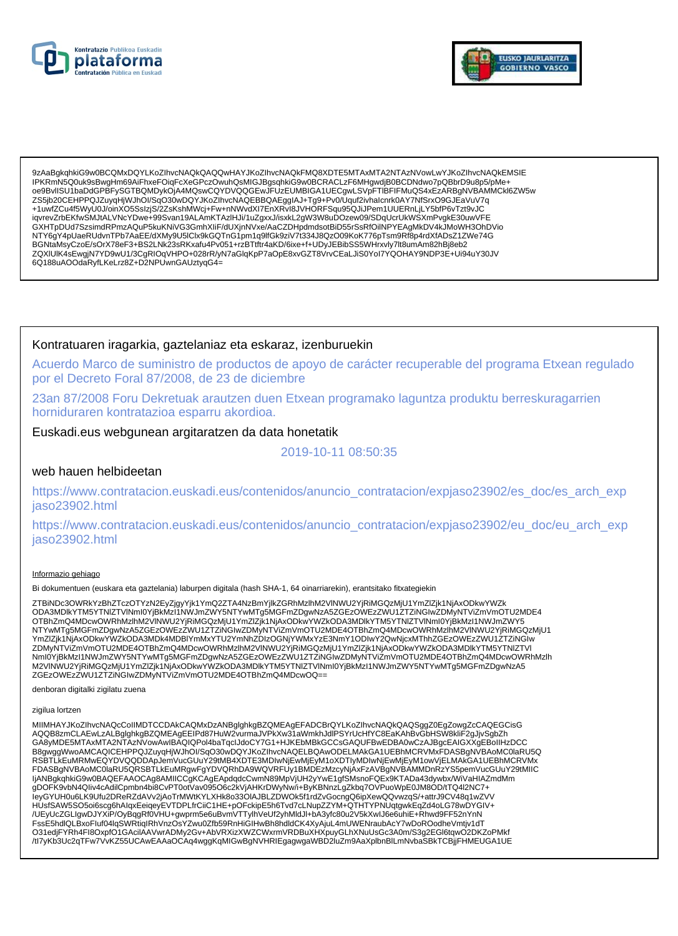



9zAaBgkghkiG9w0BCQMxDQYLKoZlhvcNAQkQAQQwHAYJKoZlhvcNAQkFMQ8XDTE5MTAxMTA2NTAzNVowLwYJKoZlhvcNAQkEMSIE IPKRmN5Q0uk9sBwqHm69AiFhxeFOiqFcXeGPczOwuhQsMIGJBqsqhkiG9w0BCRACLzF6MHqwdjB0BCDNdwo7pQBbrD9u8p5/pMe+ oe9BvlISU1baDdGPBFySGTBQMDykOjA4MQswCQYDVQQGEwJFUzEUMBIGA1UECgwLSVpFTIBFIFMuQS4xEzARBgNVBAMMCkl6ZW5w ZS5jb20CEHPPQJZuyqHjWJhOI/SqO30wDQYJKoZIhvcNAQEBBQAEggIAJ+Tg9+Pv0/Uquf2ivhalcnrk0AY7NfSrxO9GJEaVuV7q +1uwfZCu4f5WyU0J/oinXO5SslzjS/2ZsKshMWcj+Fw+nNWvdXI7EnXRvI8JVHORFSqu95QJiJPem1UUERnLjLY5bfP6vTzt9vJC iqvrevZrbEKfwSMJtALVNcYDwe+99Svan19ALAmKTAzIHJi/1uZgxxJ/isxkL2gW3W8uDOzew09/SDqUcrUkWSXmPvgkE30uwVFE GXHTpDUd7SzsimdRPmzAQuP5kuKNiVG3GmhXliF/dUXjnNVxe/AaCZDHpdmdsotBiD55rSsRfOilNPYEAgMkDV4kJMoWH3OhDVio NTY6gY4pUaeRUdvnTPb7AaEE/dXMy9U5IClx9kGQTnG1pm1q9lfGk9ziV7t334J8QzO09KoK776pTsm9Rf8p4rdXfADsZ1ZWe74G BGNtaMsvCzoE/sOrX78eF3+BS2LNk23sRKxafu4Pv051+rzBTtftr4aKD/6ixe+f+UDyJEBibSS5WHrxvly7lt8umAm82hBj8eb2 ZQXIUIK4sEwgjN7YD9wU1/3CgRIOqVHPO+028rR/yN7aGlqKpP7aOpE8xvGZT8VrvCEaLJiS0YoI7YQOHAY9NDP3E+Ui94uY30JV 6Q188uAOOdaRyfLKeLrz8Z+D2NPUwnGAUztyqG4=

### Kontratuaren iragarkia, gaztelaniaz eta eskaraz, izenburuekin

Acuerdo Marco de suministro de productos de apoyo de carácter recuperable del programa Etxean regulado por el Decreto Foral 87/2008, de 23 de diciembre

23an 87/2008 Foru Dekretuak arautzen duen Etxean programako laguntza produktu berreskuragarrien horniduraren kontratazioa esparru akordioa.

### Euskadi.eus webgunean argitaratzen da data honetatik

2019-10-11 08:50:35

#### web hauen helbideetan

https://www.contratacion.euskadi.eus/contenidos/anuncio\_contratacion/expjaso23902/es\_doc/es\_arch\_exp jaso23902.html

https://www.contratacion.euskadi.eus/contenidos/anuncio contratacion/expjaso23902/eu doc/eu arch exp jaso23902.html

#### Informazio gehiago

Bi dokumentuen (euskara eta gaztelania) laburpen digitala (hash SHA-1, 64 oinarriarekin), erantsitako fitxategiekin

ZTBiNDc3OWRkYzBhZTczOTYzN2EyZjgyYjk1YmQ2ZTA4NzBmYjlkZGRhMzlhM2VINWU2YjRiMGQzMjU1YmZlZjk1NjAxODkwYWZk<br>ODA3MDlkYTM5YTNlZTVlNml0YjBkMzl1NWJmZWY5NTYwMTg5MGFmZDgwNzA5ZGEzOWEzZWU1ZTZiNGIwZDMyNTViZmVmOTU2MDE4 OTBhZmQ4MDcwOWRhMzIhM2VINWU2YjRiMGQzMjU1YmZlZjk1NjAxODkwYWZkODA3MDlkYTM5YTNlZTVINml0YjBkMzl1NWJmZWY5 NTYwMTg5MGFmZDgwNzA5ZGEzOWEzZWU1ZTZINGIwZDMyNTViZmVmOTU2MDE4OTBhZmQ4MDcwOWRhMzInM2VINWU2YjRiMGQzMjU1 YmZlZjk1NjAxODkwYWZkODA3MDk4MDBIYmMxYTU2YmNhZDIzOGNjYWMxYzE3NmY1ODIwY2QwNjcxMThhZGEzOWEzZWU1ZTZiNGIw ZDMyNTViZmVmOTU2MDE4OTBhZmQ4MDcwOWRhMzlhM2VlNWU2YjRiMGQzMjU1YmZlZjk1NjAxODkwYWZkODA3MDlkYTM5YTNlZTVI Nml0YjBkMzI1NWJmZWY5NTYwMTg5MGFmZDgwNzA5ZGEzOWEzZWU1ZTZiNGlwZDMyNTViZmVmOTU2MDE4OTBhZmQ4MDcwOWRhMzlh<br>M2VINWU2YjRiMGQzMjU1YmZlZjk1NjAxODkwYWZkODA3MDlkYTM5YTNlZTVlNml0YjBkMzI1NWJmZWY5NTYwMTg5MGFmZDgwNzA5 ZGEzOWEzZWU1ZTZiNGIwZDMyNTViZmVmOTU2MDE4OTBhZmQ4MDcwOQ==

denboran digitalki zigilatu zuena

#### zigilua lortzen

MIIMHAYJKoZIhvcNAQcCoIIMDTCCDAkCAQMxDzANBglghkgBZQMEAgEFADCBrQYLKoZIhvcNAQkQAQSggZ0EgZowgZcCAQEGCisG AQQB8zmCLAEwLzALBglghkgBZQMEAgEEIPd87HuW2vurmaJVPkXw31aWmkhJdlPSYrUcHfYC8EaKAhBvGbHSW8kliF2gJjvSgbZh GA8yMDE5MTAxMTA2NTAzNVowAwIBAQIQPol4baTqcIJdoCY7G1+HJKEbMBkGCCsGAQUFBwEDBA0wCzAJBgcEAIGXXgEBoIIHzDCC B8gwggWwoAMCAQICEHPPQJZuyqHjWJhOI/SqO30wDQYJKoZIhvcNAQELBQAwODELMAkGA1UEBhMCRVMxFDASBgNVBAoMC0laRU5Q RSBTLKEuMRMwEQYDVQQDDApJemVucGUuY29tMB4XDTE3MDlwNjEwMjEyM1oXDTIyMDlwNjEwMjEyM1owVjELMAkGA1UEBhMCRVMx<br>FDASBgNVBAoMC0laRU5QRSBTLkEuMRgwFgYDVQRhDA9WQVRFUy1BMDEzMzcyNjAxFzAVBgNVBAMMDnRzYS5pemVucGUuY29tMIIC ljANBgkqhkiG9w0BAQEFAAOCAg8AMIICCgKCAgEApdqdcCwmN89MpVjUH2yYwE1gfSMsnoFQEx9KTADa43dywbx/WiVaHIAZmdMm<br>gDOFK9vbN4Qliv4cAdilCpmbn4bi8CvPT0otVav095O6c2kVjAHKrDWyNw/i+ByKBNnzLgZkbq7OVPuoWpE0JM8OD/tTQ4l2NC7+ leyGYUH0u6LK9Ufu2DReRZdAVv2jAoTrMWtKYLXHk8o33OIAJBLZDWOk5f1rdZvGocngQ6ipXewQQvwzqS/+attrJ9CV48q1wZVV HUsfSAW5SO5oi6scg6hAlqxEeiqeyEVTDPLfrCiiC1HE+pOFckipE5h6Tvd7cLNupZZYM+QTHTYPNUqtgwkEqZd4oLG78wDYGIV+ /UEyUcZGLIgwDJYXiP/OyBqqRf0VHU+gwprm5e6uBvmVTTylhVeUf2yhMldJl+bA3yfc80u2V5kXwIJ6e6uhiE+Rhwd9FF52nYnN FssE5hdlQLBxoFluf04lqSWRtiqIRhVnzOsYZwu0Zfb59RnHiGIHwBh8hdldCK4XyAjuL4mUWENraubAcY7wDoROodheVmtjv1dT O31edjFYRh4Fl8OxpfO1GAcilAAVwrADMy2Gv+AbVRXizXWZCWxrmVRDBuXHXpuyGLhXNuUsGc3A0m/S3g2EGl6tqwO2DKZoPMkf /tl7yKb3Uc2qTFw7VvKZ55UCAwEAAaOCAq4wggKqMIGwBgNVHRIEgagwgaWBD2IuZm9AaXplbnBlLmNvbaSBkTCBjjFHMEUGA1UE